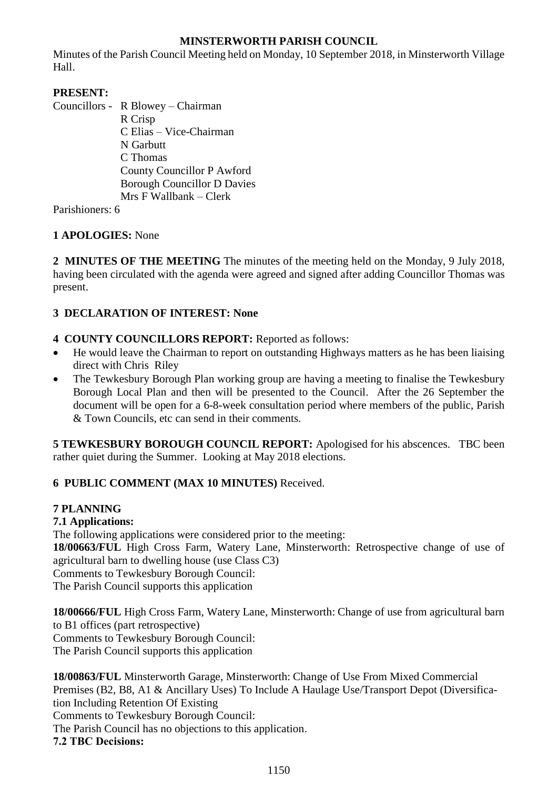# **MINSTERWORTH PARISH COUNCIL**

Minutes of the Parish Council Meeting held on Monday, 10 September 2018, in Minsterworth Village Hall.

## **PRESENT:**

Councillors - R Blowey – Chairman R Crisp C Elias – Vice-Chairman N Garbutt C Thomas County Councillor P Awford Borough Councillor D Davies Mrs F Wallbank – Clerk

Parishioners: 6

# **1 APOLOGIES:** None

**2 MINUTES OF THE MEETING** The minutes of the meeting held on the Monday, 9 July 2018, having been circulated with the agenda were agreed and signed after adding Councillor Thomas was present.

## **3 DECLARATION OF INTEREST: None**

- **4 COUNTY COUNCILLORS REPORT:** Reported as follows:
- He would leave the Chairman to report on outstanding Highways matters as he has been liaising direct with Chris Riley
- The Tewkesbury Borough Plan working group are having a meeting to finalise the Tewkesbury Borough Local Plan and then will be presented to the Council. After the 26 September the document will be open for a 6-8-week consultation period where members of the public, Parish & Town Councils, etc can send in their comments.

**5 TEWKESBURY BOROUGH COUNCIL REPORT:** Apologised for his abscences. TBC been rather quiet during the Summer. Looking at May 2018 elections.

# **6 PUBLIC COMMENT (MAX 10 MINUTES)** Received.

### **7 PLANNING**

### **7.1 Applications:**

The following applications were considered prior to the meeting: **18/00663/FUL** High Cross Farm, Watery Lane, Minsterworth: Retrospective change of use of agricultural barn to dwelling house (use Class C3) Comments to Tewkesbury Borough Council:

The Parish Council supports this application

**18/00666/FUL** High Cross Farm, Watery Lane, Minsterworth: Change of use from agricultural barn to B1 offices (part retrospective) Comments to Tewkesbury Borough Council: The Parish Council supports this application

**18/00863/FUL** Minsterworth Garage, Minsterworth: Change of Use From Mixed Commercial Premises (B2, B8, A1 & Ancillary Uses) To Include A Haulage Use/Transport Depot (Diversification Including Retention Of Existing Comments to Tewkesbury Borough Council: The Parish Council has no objections to this application. **7.2 TBC Decisions:**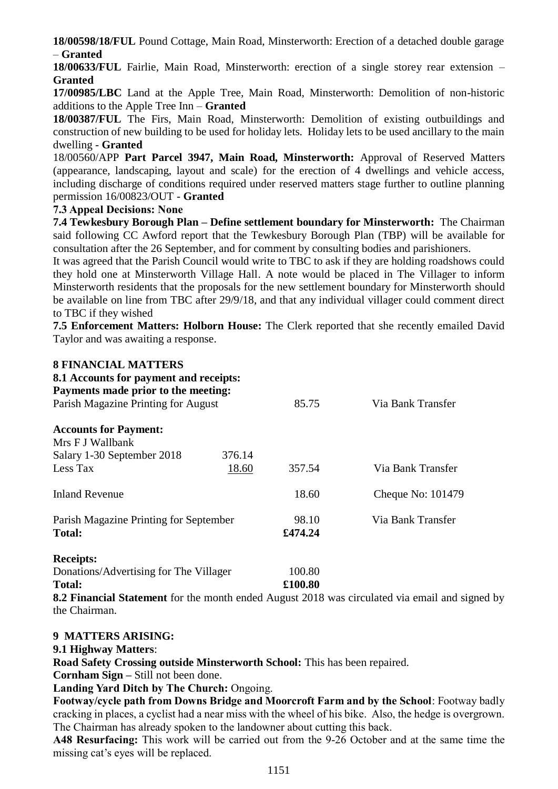**18/00598/18/FUL** Pound Cottage, Main Road, Minsterworth: Erection of a detached double garage – **Granted**

**18/00633/FUL** Fairlie, Main Road, Minsterworth: erection of a single storey rear extension – **Granted**

**17/00985/LBC** Land at the Apple Tree, Main Road, Minsterworth: Demolition of non-historic additions to the Apple Tree Inn – **Granted**

**18/00387/FUL** The Firs, Main Road, Minsterworth: Demolition of existing outbuildings and construction of new building to be used for holiday lets. Holiday lets to be used ancillary to the main dwelling - **Granted**

18/00560/APP **Part Parcel 3947, Main Road, Minsterworth:** Approval of Reserved Matters (appearance, landscaping, layout and scale) for the erection of 4 dwellings and vehicle access, including discharge of conditions required under reserved matters stage further to outline planning permission 16/00823/OUT - **Granted**

#### **7.3 Appeal Decisions: None**

**7.4 Tewkesbury Borough Plan – Define settlement boundary for Minsterworth:** The Chairman said following CC Awford report that the Tewkesbury Borough Plan (TBP) will be available for consultation after the 26 September, and for comment by consulting bodies and parishioners.

It was agreed that the Parish Council would write to TBC to ask if they are holding roadshows could they hold one at Minsterworth Village Hall. A note would be placed in The Villager to inform Minsterworth residents that the proposals for the new settlement boundary for Minsterworth should be available on line from TBC after 29/9/18, and that any individual villager could comment direct to TBC if they wished

**7.5 Enforcement Matters: Holborn House:** The Clerk reported that she recently emailed David Taylor and was awaiting a response.

### **8 FINANCIAL MATTERS**

| 8.1 Accounts for payment and receipts:<br>Payments made prior to the meeting: |        |         |                   |
|-------------------------------------------------------------------------------|--------|---------|-------------------|
| Parish Magazine Printing for August                                           |        | 85.75   | Via Bank Transfer |
| <b>Accounts for Payment:</b><br>Mrs F J Wallbank                              |        |         |                   |
| Salary 1-30 September 2018                                                    | 376.14 |         |                   |
| Less Tax                                                                      | 18.60  | 357.54  | Via Bank Transfer |
| <b>Inland Revenue</b>                                                         |        | 18.60   | Cheque No: 101479 |
| Parish Magazine Printing for September                                        |        | 98.10   | Via Bank Transfer |
| <b>Total:</b>                                                                 |        | £474.24 |                   |
| <b>Receipts:</b>                                                              |        |         |                   |
| Donations/Advertising for The Villager                                        |        | 100.80  |                   |
| <b>Total:</b>                                                                 |        | £100.80 |                   |

**8.2 Financial Statement** for the month ended August 2018 was circulated via email and signed by the Chairman.

## **9 MATTERS ARISING:**

#### **9.1 Highway Matters**:

**Road Safety Crossing outside Minsterworth School:** This has been repaired.

**Cornham Sign –** Still not been done.

**Landing Yard Ditch by The Church:** Ongoing.

**Footway/cycle path from Downs Bridge and Moorcroft Farm and by the School**: Footway badly cracking in places, a cyclist had a near miss with the wheel of his bike. Also, the hedge is overgrown. The Chairman has already spoken to the landowner about cutting this back.

**A48 Resurfacing:** This work will be carried out from the 9-26 October and at the same time the missing cat's eyes will be replaced.